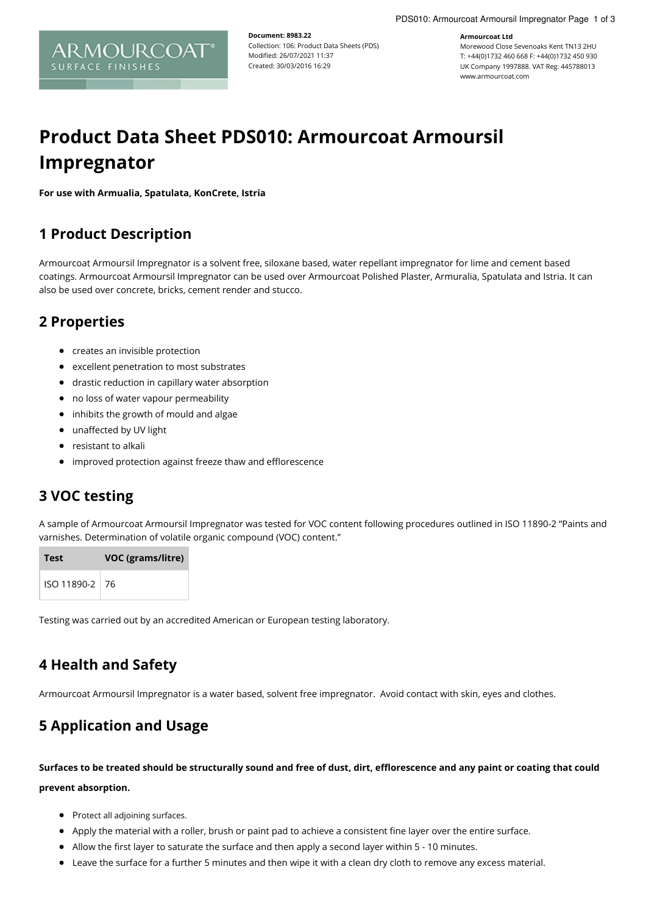**Document: 8983.22** Collection: 106: Product Data Sheets (PDS) Modified: 26/07/2021 11:37 Created: 30/03/2016 16:29

#### **Armourcoat Ltd**

Morewood Close Sevenoaks Kent TN13 2HU T: +44(0)1732 460 668 F: +44(0)1732 450 930 UK Company 1997888. VAT Reg: 445788013 www.armourcoat.com

# **Product Data Sheet PDS010: Armourcoat Armoursil Impregnator**

**For use with Armualia, Spatulata, KonCrete, Istria**

### **1 Product Description**

Armourcoat Armoursil Impregnator is a solvent free, siloxane based, water repellant impregnator for lime and cement based coatings. Armourcoat Armoursil Impregnator can be used over Armourcoat Polished Plaster, Armuralia, Spatulata and Istria. It can also be used over concrete, bricks, cement render and stucco.

### **2 Properties**

- creates an invisible protection
- excellent penetration to most substrates
- drastic reduction in capillary water absorption
- no loss of water vapour permeability
- inhibits the growth of mould and algae
- unaffected by UV light
- resistant to alkali
- improved protection against freeze thaw and efflorescence

#### **3 VOC testing**

A sample of Armourcoat Armoursil Impregnator was tested for VOC content following procedures outlined in ISO 11890-2 "Paints and varnishes. Determination of volatile organic compound (VOC) content."

| Test             | VOC (grams/litre) |
|------------------|-------------------|
| ISO 11890-2   76 |                   |

Testing was carried out by an accredited American or European testing laboratory.

# **4 Health and Safety**

Armourcoat Armoursil Impregnator is a water based, solvent free impregnator. Avoid contact with skin, eyes and clothes.

# **5 Application and Usage**

Surfaces to be treated should be structurally sound and free of dust, dirt, efflorescence and any paint or coating that could **prevent absorption.**

- Protect all adjoining surfaces.
- Apply the material with a roller, brush or paint pad to achieve a consistent fine layer over the entire surface.
- Allow the first layer to saturate the surface and then apply a second layer within 5 10 minutes.
- Leave the surface for a further 5 minutes and then wipe it with a clean dry cloth to remove any excess material.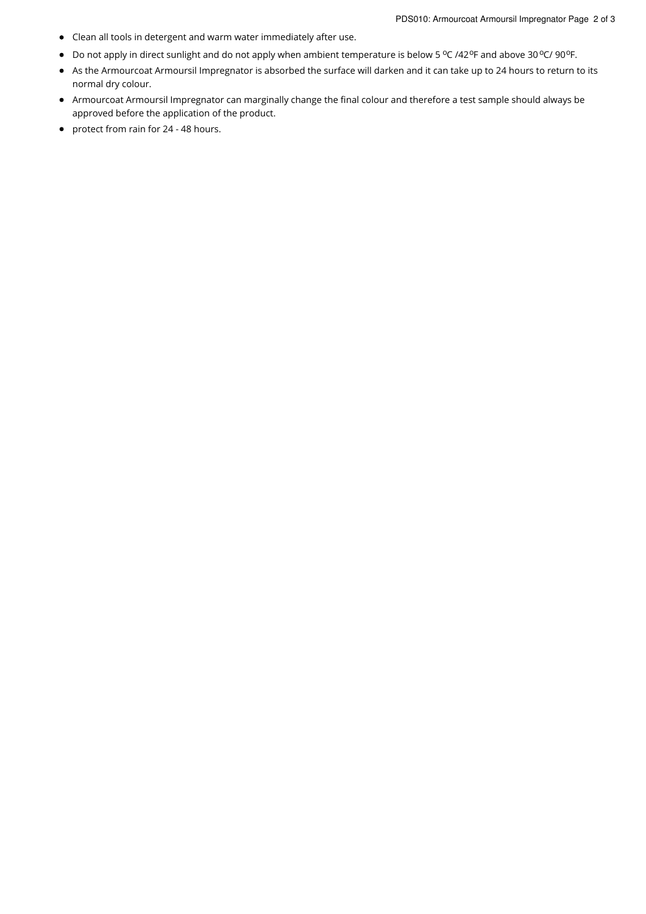- Clean all tools in detergent and warm water immediately after use.
- Do not apply in direct sunlight and do not apply when ambient temperature is below 5 °C /42°F and above 30 °C/ 90°F.
- As the Armourcoat Armoursil Impregnator is absorbed the surface will darken and it can take up to 24 hours to return to its normal dry colour.
- Armourcoat Armoursil Impregnator can marginally change the final colour and therefore a test sample should always be approved before the application of the product.
- protect from rain for 24 48 hours.